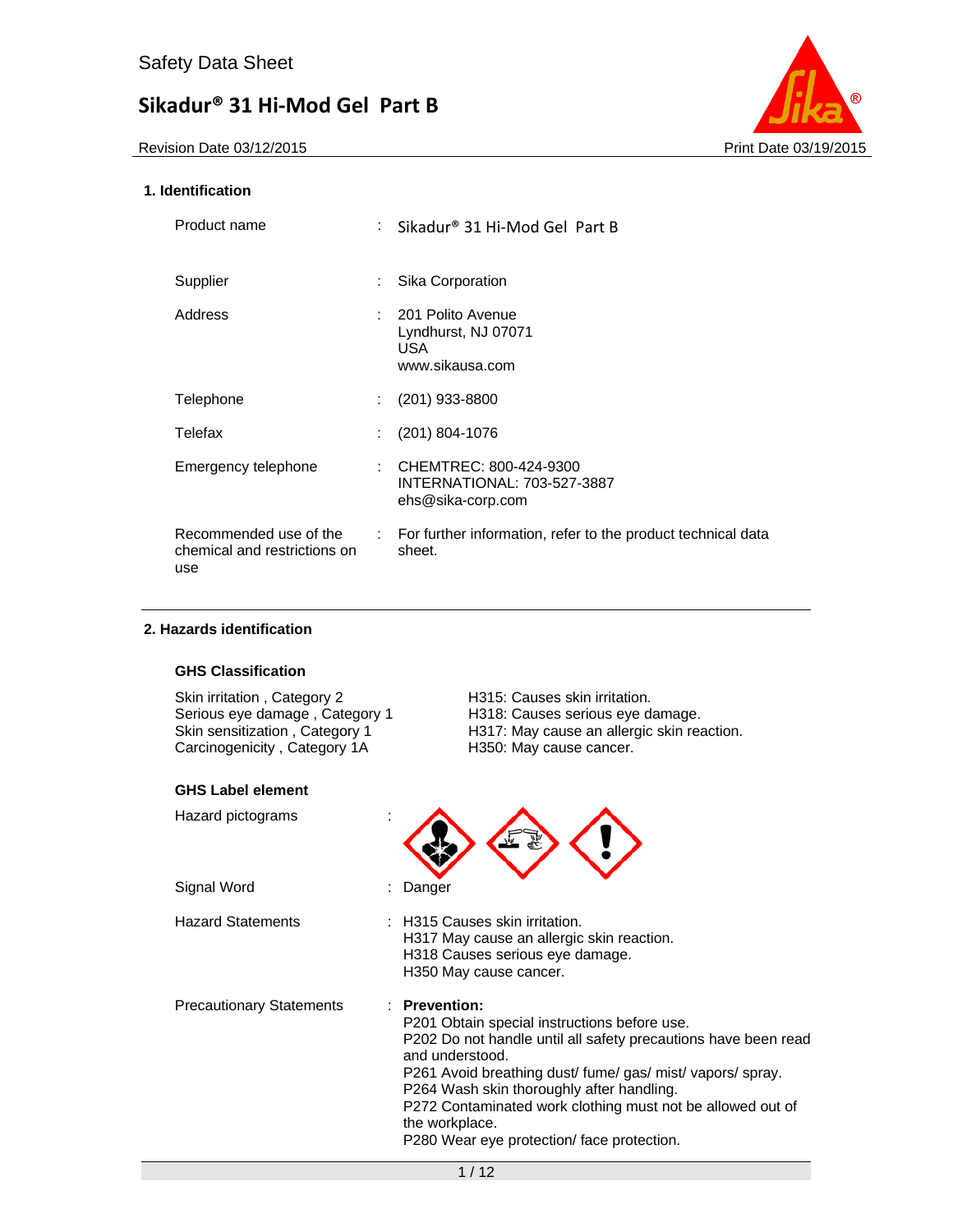Revision Date 03/12/2015 **Print Date 03/19/2015** 



## **1. Identification**

| Product name                                                  |                              | : Sikadur® 31 Hi-Mod Gel Part B                                            |
|---------------------------------------------------------------|------------------------------|----------------------------------------------------------------------------|
| Supplier                                                      | t.                           | Sika Corporation                                                           |
| Address                                                       |                              | : 201 Polito Avenue<br>Lyndhurst, NJ 07071<br>USA.<br>www.sikausa.com      |
| Telephone                                                     | $\mathcal{L}$                | $(201)$ 933-8800                                                           |
| Telefax                                                       |                              | (201) 804-1076                                                             |
| Emergency telephone                                           | ÷.                           | CHEMTREC: 800-424-9300<br>INTERNATIONAL: 703-527-3887<br>ehs@sika-corp.com |
| Recommended use of the<br>chemical and restrictions on<br>use | $\mathcal{L}_{\mathrm{max}}$ | For further information, refer to the product technical data<br>sheet.     |

### **2. Hazards identification**

## **GHS Classification**

Serious eye damage, Category 1 Skin sensitization , Category 1<br>Carcinogenicity , Category 1A

#### **GHS Label element**

Skin irritation , Category 2 **H315: Causes skin irritation.**<br>
Serious eye damage , Category 1 H318: Causes serious eye damage. H317: May cause an allergic skin reaction.<br>H350: May cause cancer.

| Hazard pictograms        |                                                                                                                                                                                                                                                                                                                                                                                                  |
|--------------------------|--------------------------------------------------------------------------------------------------------------------------------------------------------------------------------------------------------------------------------------------------------------------------------------------------------------------------------------------------------------------------------------------------|
| Signal Word              | : Danger                                                                                                                                                                                                                                                                                                                                                                                         |
| Hazard Statements        | : H315 Causes skin irritation.<br>H317 May cause an allergic skin reaction.<br>H318 Causes serious eye damage.<br>H350 May cause cancer.                                                                                                                                                                                                                                                         |
| Precautionary Statements | $\therefore$ Prevention:<br>P201 Obtain special instructions before use.<br>P202 Do not handle until all safety precautions have been read<br>and understood.<br>P261 Avoid breathing dust/fume/gas/mist/vapors/spray.<br>P264 Wash skin thoroughly after handling.<br>P272 Contaminated work clothing must not be allowed out of<br>the workplace.<br>P280 Wear eye protection/face protection. |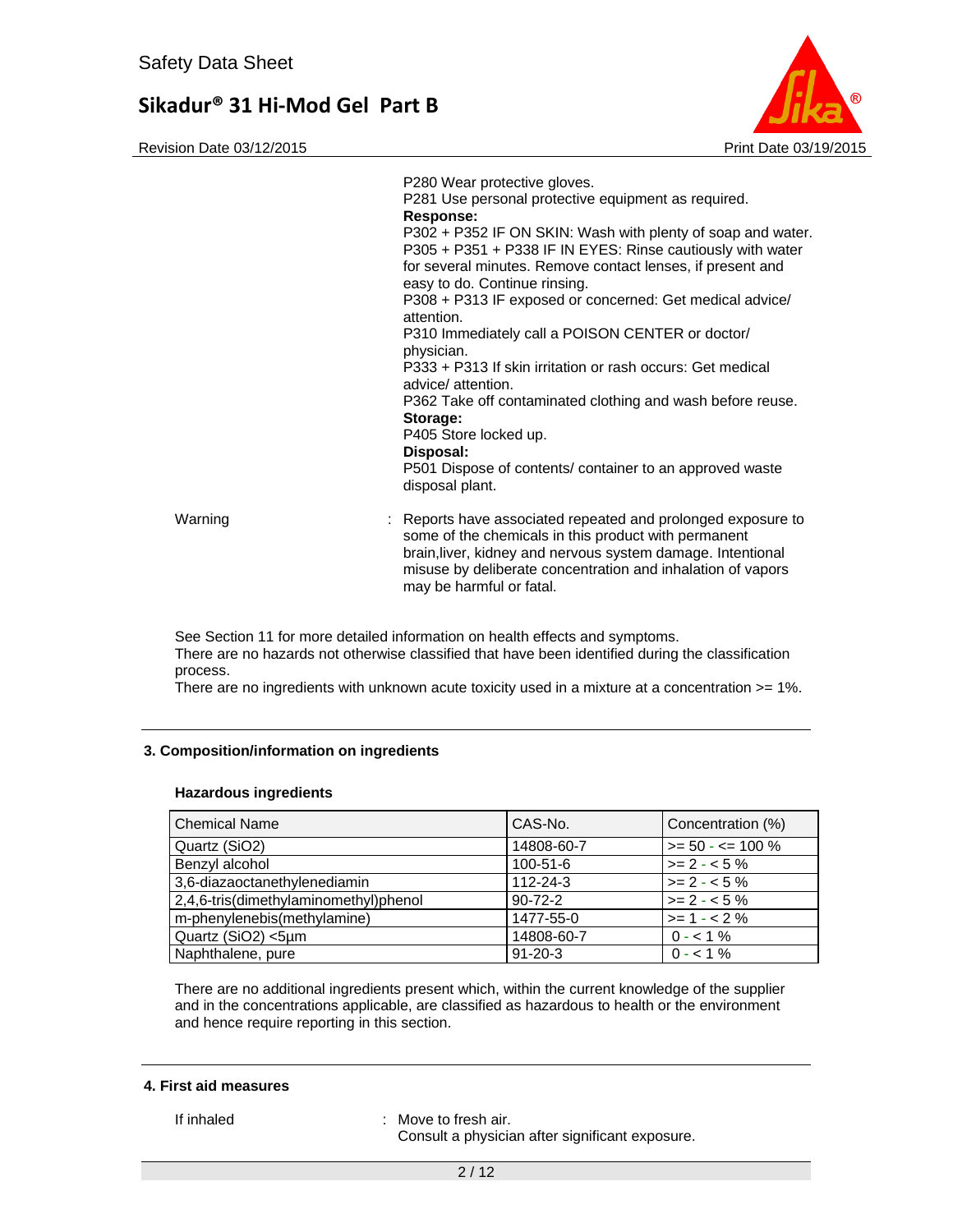Revision Date 03/12/2015 **Print Date 03/12/2015** Print Date 03/19/2015



|         | P280 Wear protective gloves.<br>P281 Use personal protective equipment as required.<br>Response:<br>P302 + P352 IF ON SKIN: Wash with plenty of soap and water.<br>P305 + P351 + P338 IF IN EYES: Rinse cautiously with water<br>for several minutes. Remove contact lenses, if present and<br>easy to do. Continue rinsing.<br>P308 + P313 IF exposed or concerned: Get medical advice/<br>attention.<br>P310 Immediately call a POISON CENTER or doctor/<br>physician.<br>P333 + P313 If skin irritation or rash occurs: Get medical<br>advice/attention.<br>P362 Take off contaminated clothing and wash before reuse.<br>Storage:<br>P405 Store locked up.<br>Disposal:<br>P501 Dispose of contents/ container to an approved waste<br>disposal plant. |
|---------|------------------------------------------------------------------------------------------------------------------------------------------------------------------------------------------------------------------------------------------------------------------------------------------------------------------------------------------------------------------------------------------------------------------------------------------------------------------------------------------------------------------------------------------------------------------------------------------------------------------------------------------------------------------------------------------------------------------------------------------------------------|
| Warning | : Reports have associated repeated and prolonged exposure to<br>some of the chemicals in this product with permanent<br>brain, liver, kidney and nervous system damage. Intentional<br>misuse by deliberate concentration and inhalation of vapors<br>may be harmful or fatal.                                                                                                                                                                                                                                                                                                                                                                                                                                                                             |

See Section 11 for more detailed information on health effects and symptoms. There are no hazards not otherwise classified that have been identified during the classification process.

There are no ingredients with unknown acute toxicity used in a mixture at a concentration >= 1%.

### **3. Composition/information on ingredients**

#### **Hazardous ingredients**

| <b>Chemical Name</b>                  | CAS-No.        | Concentration (%)    |
|---------------------------------------|----------------|----------------------|
| Quartz (SiO2)                         | 14808-60-7     | $>= 50 - 5 = 100 \%$ |
| Benzyl alcohol                        | $100 - 51 - 6$ | $>= 2 - 5\%$         |
| 3,6-diazaoctanethylenediamin          | $112 - 24 - 3$ | $>= 2 - 5\%$         |
| 2,4,6-tris(dimethylaminomethyl)phenol | $90 - 72 - 2$  | $>= 2 - 5\%$         |
| m-phenylenebis(methylamine)           | 1477-55-0      | $>= 1 - 2%$          |
| Quartz (SiO2) <5µm                    | 14808-60-7     | $0 - 1\%$            |
| Naphthalene, pure                     | $91 - 20 - 3$  | $0 - 1\%$            |

There are no additional ingredients present which, within the current knowledge of the supplier and in the concentrations applicable, are classified as hazardous to health or the environment and hence require reporting in this section.

#### **4. First aid measures**

If inhaled : Move to fresh air.

Consult a physician after significant exposure.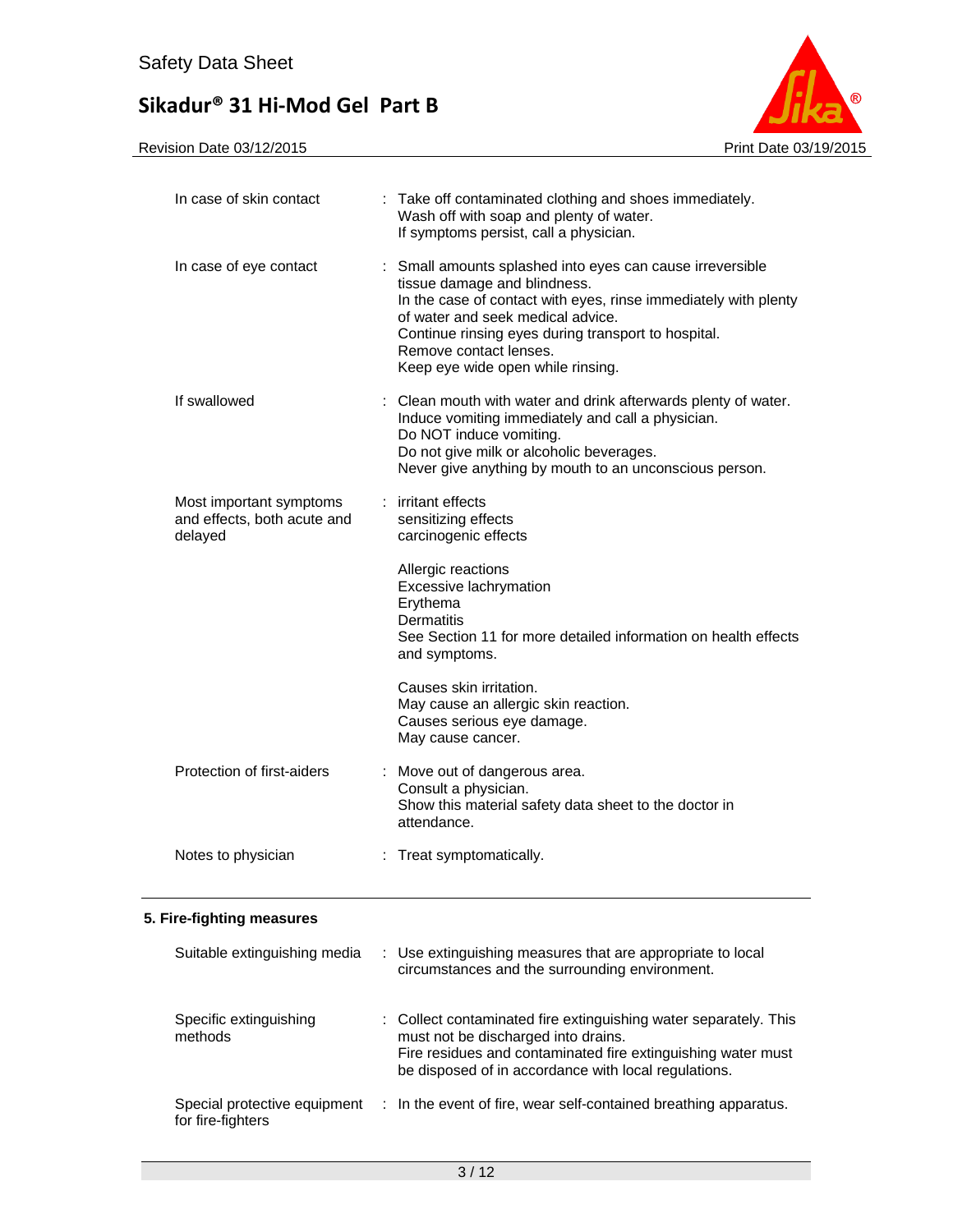

| In case of skin contact                                           | : Take off contaminated clothing and shoes immediately.<br>Wash off with soap and plenty of water.<br>If symptoms persist, call a physician.                                                                                                                                                                            |
|-------------------------------------------------------------------|-------------------------------------------------------------------------------------------------------------------------------------------------------------------------------------------------------------------------------------------------------------------------------------------------------------------------|
| In case of eye contact                                            | : Small amounts splashed into eyes can cause irreversible<br>tissue damage and blindness.<br>In the case of contact with eyes, rinse immediately with plenty<br>of water and seek medical advice.<br>Continue rinsing eyes during transport to hospital.<br>Remove contact lenses.<br>Keep eye wide open while rinsing. |
| If swallowed                                                      | : Clean mouth with water and drink afterwards plenty of water.<br>Induce vomiting immediately and call a physician.<br>Do NOT induce vomiting.<br>Do not give milk or alcoholic beverages.<br>Never give anything by mouth to an unconscious person.                                                                    |
| Most important symptoms<br>and effects, both acute and<br>delayed | : irritant effects<br>sensitizing effects<br>carcinogenic effects                                                                                                                                                                                                                                                       |
|                                                                   | Allergic reactions<br>Excessive lachrymation<br>Erythema<br><b>Dermatitis</b><br>See Section 11 for more detailed information on health effects<br>and symptoms.                                                                                                                                                        |
|                                                                   | Causes skin irritation.<br>May cause an allergic skin reaction.<br>Causes serious eye damage.<br>May cause cancer.                                                                                                                                                                                                      |
| Protection of first-aiders                                        | Move out of dangerous area.<br>Consult a physician.<br>Show this material safety data sheet to the doctor in<br>attendance.                                                                                                                                                                                             |
| Notes to physician                                                | : Treat symptomatically.                                                                                                                                                                                                                                                                                                |
|                                                                   |                                                                                                                                                                                                                                                                                                                         |

## **5. Fire-fighting measures**

| Suitable extinguishing media                      | : Use extinguishing measures that are appropriate to local<br>circumstances and the surrounding environment.                                                                                                                    |
|---------------------------------------------------|---------------------------------------------------------------------------------------------------------------------------------------------------------------------------------------------------------------------------------|
| Specific extinguishing<br>methods                 | : Collect contaminated fire extinguishing water separately. This<br>must not be discharged into drains.<br>Fire residues and contaminated fire extinguishing water must<br>be disposed of in accordance with local regulations. |
| Special protective equipment<br>for fire-fighters | : In the event of fire, wear self-contained breathing apparatus.                                                                                                                                                                |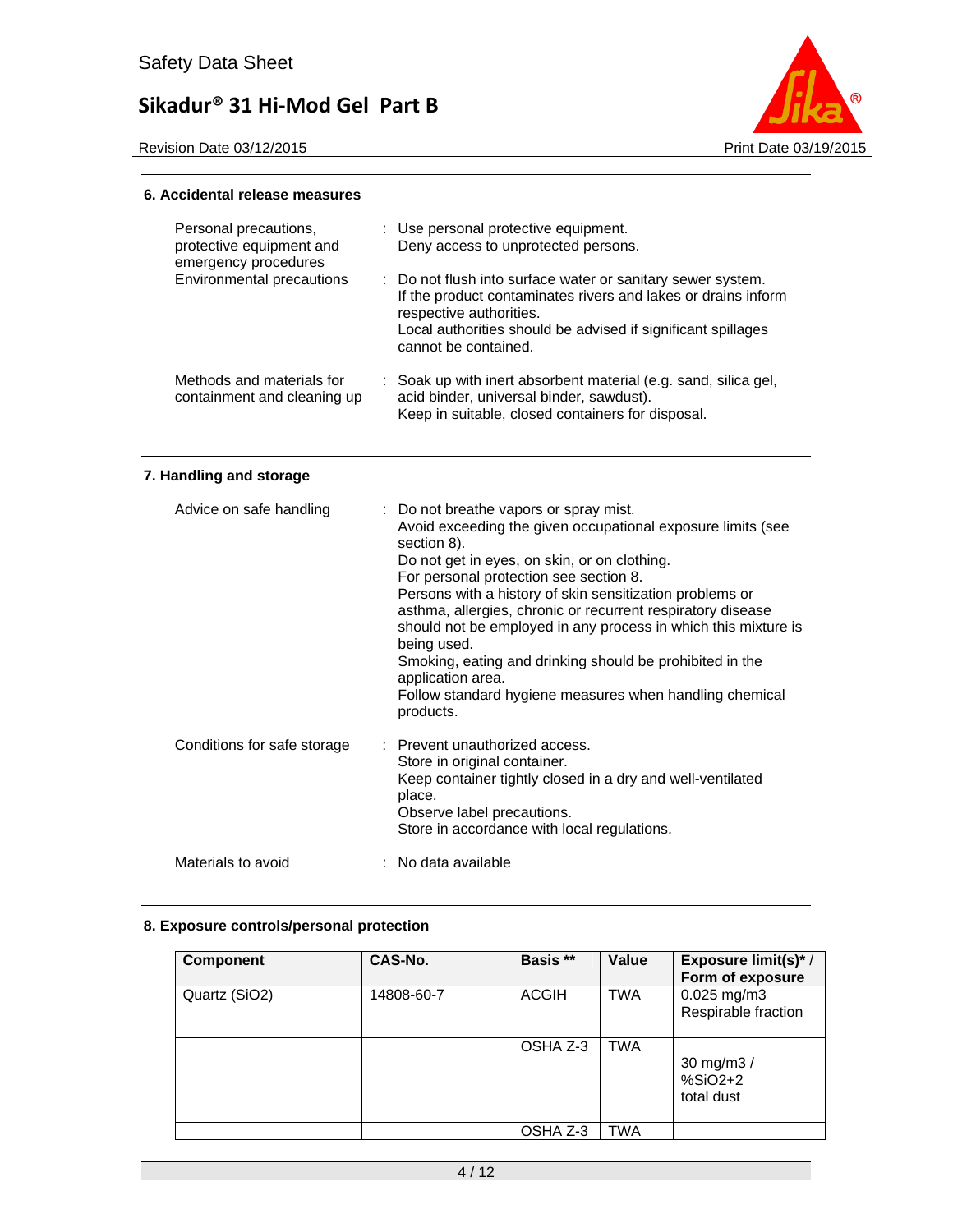

#### **6. Accidental release measures**

| Personal precautions,<br>protective equipment and<br>emergency procedures | : Use personal protective equipment.<br>Deny access to unprotected persons.                                                                                                                                                                     |  |
|---------------------------------------------------------------------------|-------------------------------------------------------------------------------------------------------------------------------------------------------------------------------------------------------------------------------------------------|--|
| Environmental precautions                                                 | : Do not flush into surface water or sanitary sewer system.<br>If the product contaminates rivers and lakes or drains inform<br>respective authorities.<br>Local authorities should be advised if significant spillages<br>cannot be contained. |  |
| Methods and materials for<br>containment and cleaning up                  | : Soak up with inert absorbent material (e.g. sand, silica gel,<br>acid binder, universal binder, sawdust).<br>Keep in suitable, closed containers for disposal.                                                                                |  |

## **7. Handling and storage**

| Advice on safe handling     | : Do not breathe vapors or spray mist.<br>Avoid exceeding the given occupational exposure limits (see<br>section 8).<br>Do not get in eyes, on skin, or on clothing.<br>For personal protection see section 8.<br>Persons with a history of skin sensitization problems or<br>asthma, allergies, chronic or recurrent respiratory disease<br>should not be employed in any process in which this mixture is<br>being used.<br>Smoking, eating and drinking should be prohibited in the<br>application area.<br>Follow standard hygiene measures when handling chemical<br>products. |
|-----------------------------|-------------------------------------------------------------------------------------------------------------------------------------------------------------------------------------------------------------------------------------------------------------------------------------------------------------------------------------------------------------------------------------------------------------------------------------------------------------------------------------------------------------------------------------------------------------------------------------|
| Conditions for safe storage | : Prevent unauthorized access.<br>Store in original container.<br>Keep container tightly closed in a dry and well-ventilated<br>place.<br>Observe label precautions.<br>Store in accordance with local regulations.                                                                                                                                                                                                                                                                                                                                                                 |
| Materials to avoid          | : No data available                                                                                                                                                                                                                                                                                                                                                                                                                                                                                                                                                                 |

## **8. Exposure controls/personal protection**

| Component     | CAS-No.    | Basis **     | Value      | Exposure limit(s)*/<br>Form of exposure |
|---------------|------------|--------------|------------|-----------------------------------------|
| Quartz (SiO2) | 14808-60-7 | <b>ACGIH</b> | <b>TWA</b> | $0.025$ mg/m3<br>Respirable fraction    |
|               |            | OSHA Z-3     | <b>TWA</b> | 30 mg/m3 /<br>$%SiO2+2$<br>total dust   |
|               |            | OSHA Z-3     | TWA        |                                         |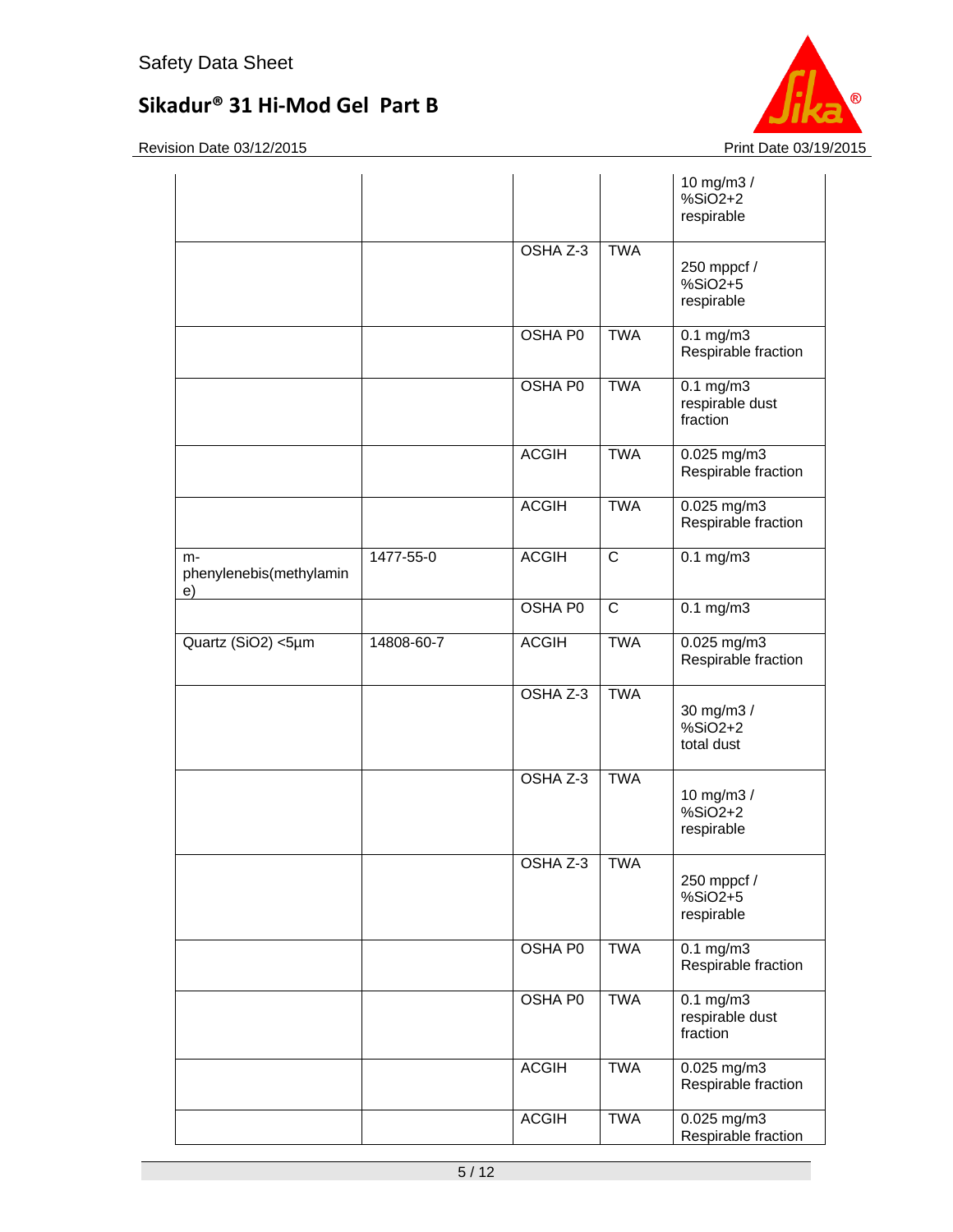

|                                     |            |                |                | 10 mg/m3 /<br>%SiO2+2<br>respirable               |
|-------------------------------------|------------|----------------|----------------|---------------------------------------------------|
|                                     |            | OSHA Z-3       | <b>TWA</b>     | 250 mppcf /<br>%SiO2+5<br>respirable              |
|                                     |            | <b>OSHA P0</b> | <b>TWA</b>     | $0.1$ mg/m3<br>Respirable fraction                |
|                                     |            | <b>OSHA P0</b> | <b>TWA</b>     | $0.1$ mg/m $3$<br>respirable dust<br>fraction     |
|                                     |            | <b>ACGIH</b>   | <b>TWA</b>     | 0.025 mg/m3<br>Respirable fraction                |
|                                     |            | <b>ACGIH</b>   | <b>TWA</b>     | 0.025 mg/m3<br>Respirable fraction                |
| m-<br>phenylenebis(methylamin<br>e) | 1477-55-0  | <b>ACGIH</b>   | $\overline{C}$ | $0.1$ mg/m $3$                                    |
|                                     |            | OSHA P0        | $\overline{C}$ | $0.1 \text{ mg/m}$                                |
| Quartz (SiO2) <5µm                  | 14808-60-7 | <b>ACGIH</b>   | <b>TWA</b>     | 0.025 mg/m3<br>Respirable fraction                |
|                                     |            | OSHA Z-3       | <b>TWA</b>     | 30 mg/m3 /<br>$%SiO2+2$<br>total dust             |
|                                     |            | OSHA Z-3       | <b>TWA</b>     | 10 mg/m3 /<br>%SiO2+2<br>respirable               |
|                                     |            | OSHA Z-3       | <b>TWA</b>     | 250 mppcf /<br>$%SiO2+5$<br>respirable            |
|                                     |            | OSHA P0        | <b>TWA</b>     | $0.1 \text{ mg/m}$<br>Respirable fraction         |
|                                     |            | <b>OSHA P0</b> | <b>TWA</b>     | $0.1 \text{ mg/m}$<br>respirable dust<br>fraction |
|                                     |            | <b>ACGIH</b>   | <b>TWA</b>     | 0.025 mg/m3<br>Respirable fraction                |
|                                     |            | <b>ACGIH</b>   | <b>TWA</b>     | $0.025$ mg/m3<br>Respirable fraction              |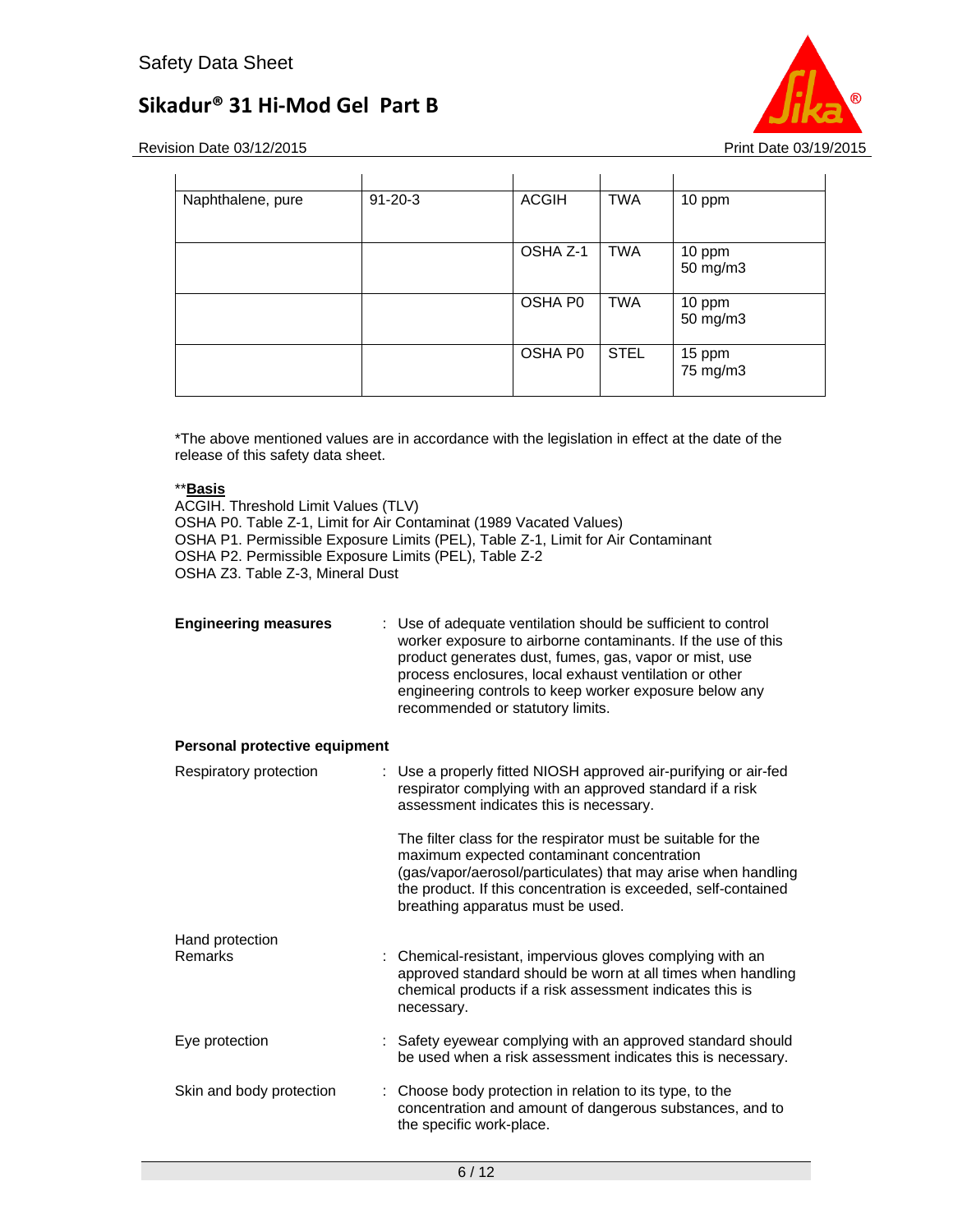

Revision Date 03/12/2015 **Print Date 03/12/2015** Print Date 03/19/2015

| Naphthalene, pure | $91 - 20 - 3$ | <b>ACGIH</b> | <b>TWA</b>  | 10 ppm             |
|-------------------|---------------|--------------|-------------|--------------------|
|                   |               |              |             |                    |
|                   |               | OSHA Z-1     | <b>TWA</b>  | 10 ppm<br>50 mg/m3 |
|                   |               | OSHA P0      | <b>TWA</b>  | 10 ppm<br>50 mg/m3 |
|                   |               | OSHA P0      | <b>STEL</b> | 15 ppm<br>75 mg/m3 |

\*The above mentioned values are in accordance with the legislation in effect at the date of the release of this safety data sheet.

## \*\***Basis**

ACGIH. Threshold Limit Values (TLV) OSHA P0. Table Z-1, Limit for Air Contaminat (1989 Vacated Values) OSHA P1. Permissible Exposure Limits (PEL), Table Z-1, Limit for Air Contaminant OSHA P2. Permissible Exposure Limits (PEL), Table Z-2 OSHA Z3. Table Z-3, Mineral Dust

| : Use of adequate ventilation should be sufficient to control<br>worker exposure to airborne contaminants. If the use of this<br>product generates dust, fumes, gas, vapor or mist, use<br>process enclosures, local exhaust ventilation or other<br>engineering controls to keep worker exposure below any<br>recommended or statutory limits. |
|-------------------------------------------------------------------------------------------------------------------------------------------------------------------------------------------------------------------------------------------------------------------------------------------------------------------------------------------------|
| Personal protective equipment                                                                                                                                                                                                                                                                                                                   |
| : Use a properly fitted NIOSH approved air-purifying or air-fed<br>respirator complying with an approved standard if a risk<br>assessment indicates this is necessary.                                                                                                                                                                          |
| The filter class for the respirator must be suitable for the<br>maximum expected contaminant concentration<br>(gas/vapor/aerosol/particulates) that may arise when handling<br>the product. If this concentration is exceeded, self-contained<br>breathing apparatus must be used.                                                              |
| : Chemical-resistant, impervious gloves complying with an<br>approved standard should be worn at all times when handling<br>chemical products if a risk assessment indicates this is<br>necessary.                                                                                                                                              |
| : Safety eyewear complying with an approved standard should<br>be used when a risk assessment indicates this is necessary.                                                                                                                                                                                                                      |
| Choose body protection in relation to its type, to the<br>concentration and amount of dangerous substances, and to<br>the specific work-place.                                                                                                                                                                                                  |
|                                                                                                                                                                                                                                                                                                                                                 |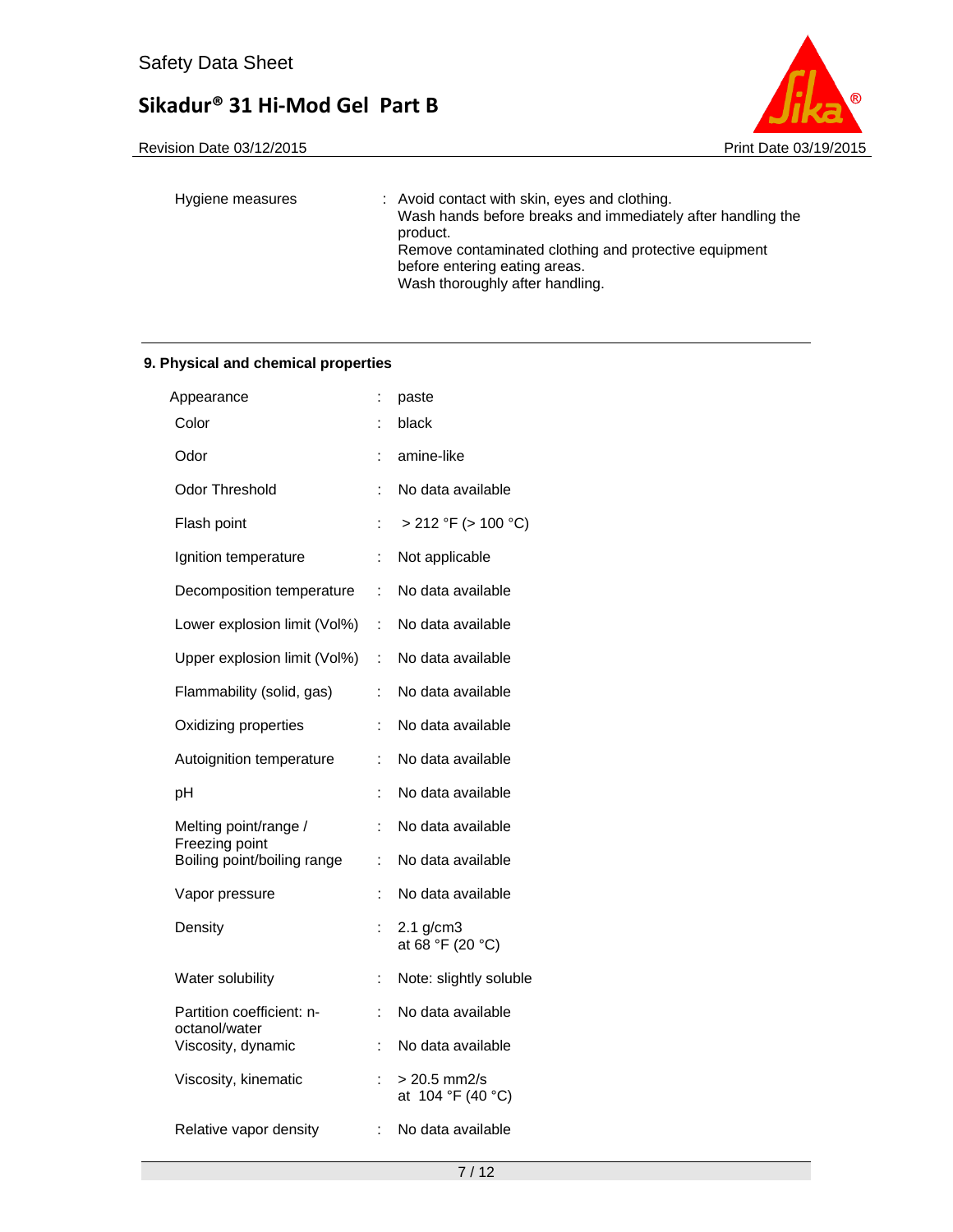

| Hygiene measures | : Avoid contact with skin, eyes and clothing.<br>Wash hands before breaks and immediately after handling the<br>product. |
|------------------|--------------------------------------------------------------------------------------------------------------------------|
|                  | Remove contaminated clothing and protective equipment                                                                    |
|                  | before entering eating areas.                                                                                            |
|                  | Wash thoroughly after handling.                                                                                          |

## **9. Physical and chemical properties**

| Appearance                                    |    | paste                              |
|-----------------------------------------------|----|------------------------------------|
| Color                                         |    | black                              |
| Odor                                          | İ. | amine-like                         |
| Odor Threshold                                | t  | No data available                  |
| Flash point                                   |    | $> 212$ °F ( $> 100$ °C)           |
| Ignition temperature                          | :  | Not applicable                     |
| Decomposition temperature                     | ÷  | No data available                  |
| Lower explosion limit (Vol%)                  | ÷  | No data available                  |
| Upper explosion limit (Vol%)                  | ÷. | No data available                  |
| Flammability (solid, gas)                     | ÷  | No data available                  |
| Oxidizing properties                          | t  | No data available                  |
| Autoignition temperature                      | İ. | No data available                  |
| рH                                            |    | No data available                  |
| Melting point/range /                         | t  | No data available                  |
| Freezing point<br>Boiling point/boiling range | t  | No data available                  |
| Vapor pressure                                | İ. | No data available                  |
| Density                                       | :  | $2.1$ g/cm $3$<br>at 68 °F (20 °C) |
| Water solubility                              | :  | Note: slightly soluble             |
| Partition coefficient: n-<br>octanol/water    | ÷  | No data available                  |
| Viscosity, dynamic                            | t  | No data available                  |
| Viscosity, kinematic                          | :  | > 20.5 mm2/s<br>at 104 °F (40 °C)  |
| Relative vapor density                        | ÷  | No data available                  |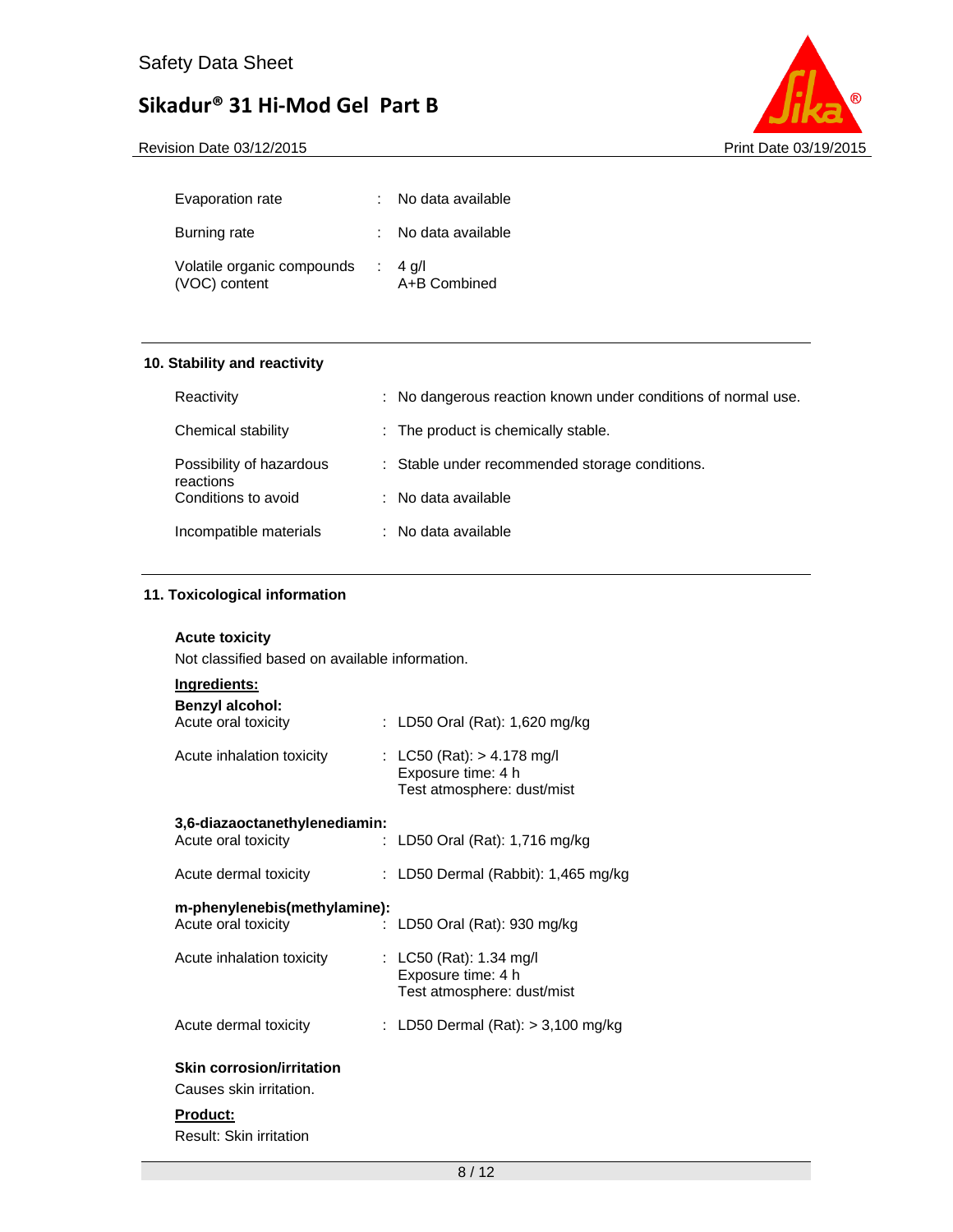

| Evaporation rate                            | No data available                  |
|---------------------------------------------|------------------------------------|
| Burning rate                                | : No data available                |
| Volatile organic compounds<br>(VOC) content | $\therefore$ 4 g/l<br>A+B Combined |

## **10. Stability and reactivity**

| Reactivity                            | : No dangerous reaction known under conditions of normal use. |
|---------------------------------------|---------------------------------------------------------------|
| Chemical stability                    | : The product is chemically stable.                           |
| Possibility of hazardous<br>reactions | : Stable under recommended storage conditions.                |
| Conditions to avoid                   | : No data available                                           |
| Incompatible materials                | : No data available                                           |

## **11. Toxicological information**

### **Acute toxicity**

Not classified based on available information.

| <u>Ingredients:</u><br><b>Benzyl alcohol:</b> |                                                                                  |
|-----------------------------------------------|----------------------------------------------------------------------------------|
| Acute oral toxicity                           | : LD50 Oral (Rat): 1,620 mg/kg                                                   |
| Acute inhalation toxicity                     | : LC50 (Rat): $> 4.178$ mg/l<br>Exposure time: 4 h<br>Test atmosphere: dust/mist |
| 3,6-diazaoctanethylenediamin:                 |                                                                                  |
| Acute oral toxicity<br>t.                     | LD50 Oral (Rat): 1,716 mg/kg                                                     |
| Acute dermal toxicity                         | : LD50 Dermal (Rabbit): 1,465 mg/kg                                              |
| m-phenylenebis(methylamine):                  |                                                                                  |
| Acute oral toxicity<br>÷                      | LD50 Oral (Rat): 930 mg/kg                                                       |
| Acute inhalation toxicity                     | : LC50 (Rat): 1.34 mg/l                                                          |
|                                               | Exposure time: 4 h                                                               |
|                                               | Test atmosphere: dust/mist                                                       |
| Acute dermal toxicity                         | : LD50 Dermal (Rat): $>$ 3,100 mg/kg                                             |
| <b>Skin corrosion/irritation</b>              |                                                                                  |
| Causes skin irritation.                       |                                                                                  |
| <b>Product:</b>                               |                                                                                  |

Result: Skin irritation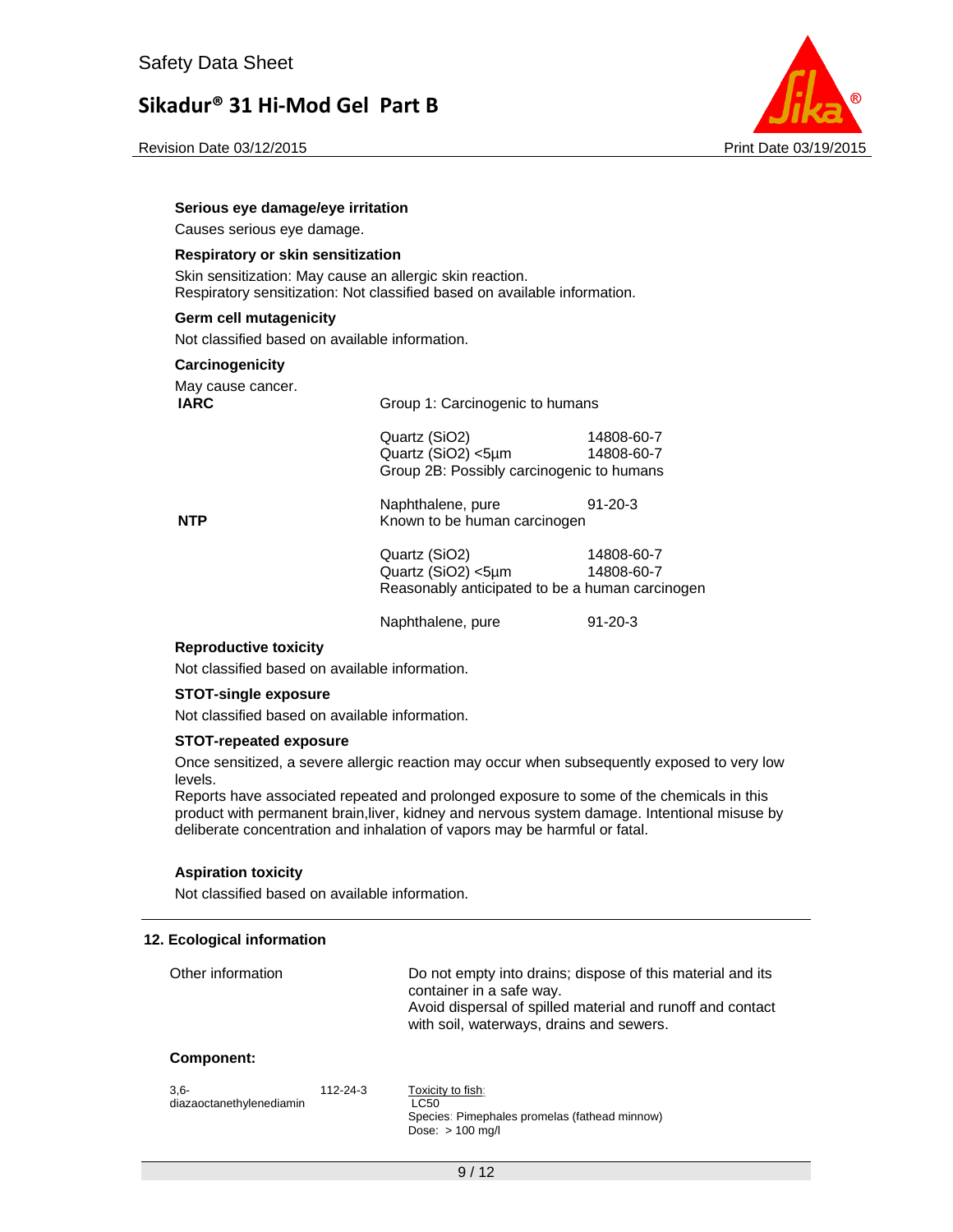Revision Date 03/12/2015 **Print Date 03/19/2015** Print Date 03/19/2015



#### **Serious eye damage/eye irritation**

Causes serious eye damage.

#### **Respiratory or skin sensitization**

Skin sensitization: May cause an allergic skin reaction. Respiratory sensitization: Not classified based on available information.

#### **Germ cell mutagenicity**

Not classified based on available information.

#### **Carcinogenicity**

| May cause cancer. |  |
|-------------------|--|
| IARC              |  |

| $$ , $$ , $$<br>IARC | Group 1: Carcinogenic to humans           |            |  |
|----------------------|-------------------------------------------|------------|--|
|                      | Quartz (SiO2)                             | 14808-60-7 |  |
|                      | Quartz (SiO2) <5um                        | 14808-60-7 |  |
|                      | Group 2B: Possibly carcinogenic to humans |            |  |

Naphthalene, pure 91-20-3

**NTP** Known to be human carcinogen

## Quartz (SiO2) 14808-60-7 Quartz (SiO2) <5µm 14808-60-7 Reasonably anticipated to be a human carcinogen

Naphthalene, pure 91-20-3

#### **Reproductive toxicity**

Not classified based on available information.

#### **STOT-single exposure**

Not classified based on available information.

#### **STOT-repeated exposure**

Once sensitized, a severe allergic reaction may occur when subsequently exposed to very low levels.

Reports have associated repeated and prolonged exposure to some of the chemicals in this product with permanent brain,liver, kidney and nervous system damage. Intentional misuse by deliberate concentration and inhalation of vapors may be harmful or fatal.

### **Aspiration toxicity**

Not classified based on available information.

#### **12. Ecological information**

| Other information                   |          | Do not empty into drains; dispose of this material and its<br>container in a safe way.<br>Avoid dispersal of spilled material and runoff and contact<br>with soil, waterways, drains and sewers. |
|-------------------------------------|----------|--------------------------------------------------------------------------------------------------------------------------------------------------------------------------------------------------|
| Component:                          |          |                                                                                                                                                                                                  |
| $3.6 -$<br>diazaoctanethylenediamin | 112-24-3 | Toxicity to fish:<br><b>LC50</b><br>Species: Pimephales promelas (fathead minnow)                                                                                                                |

Dose: > 100 mg/l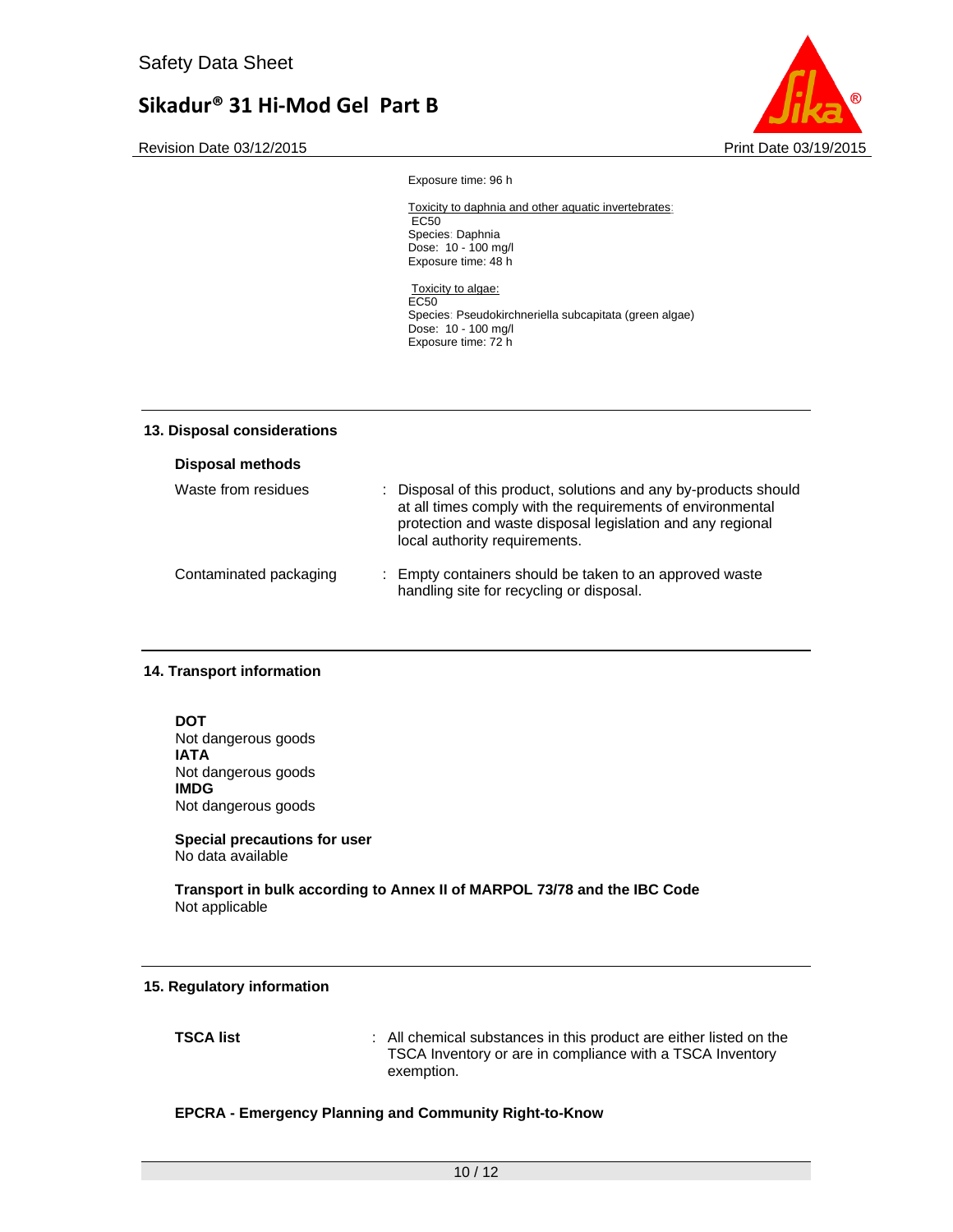Revision Date 03/12/2015 **Print Date 03/12/2015** Print Date 03/19/2015



Exposure time: 96 h

#### Toxicity to daphnia and other aquatic invertebrates: EC<sub>50</sub>

Species: Daphnia Dose: 10 - 100 mg/l Exposure time: 48 h

Toxicity to algae: EC50 Species: Pseudokirchneriella subcapitata (green algae) Dose: 10 - 100 mg/l Exposure time: 72 h

### **13. Disposal considerations**

| <b>Disposal methods</b> |                                                                                                                                                                                                                               |
|-------------------------|-------------------------------------------------------------------------------------------------------------------------------------------------------------------------------------------------------------------------------|
| Waste from residues     | : Disposal of this product, solutions and any by-products should<br>at all times comply with the requirements of environmental<br>protection and waste disposal legislation and any regional<br>local authority requirements. |
| Contaminated packaging  | : Empty containers should be taken to an approved waste<br>handling site for recycling or disposal.                                                                                                                           |

### **14. Transport information**

**DOT**  Not dangerous goods **IATA**  Not dangerous goods **IMDG**  Not dangerous goods

**Special precautions for user** No data available

**Transport in bulk according to Annex II of MARPOL 73/78 and the IBC Code**  Not applicable

### **15. Regulatory information**

**TSCA list** : All chemical substances in this product are either listed on the TSCA Inventory or are in compliance with a TSCA Inventory exemption.

### **EPCRA - Emergency Planning and Community Right-to-Know**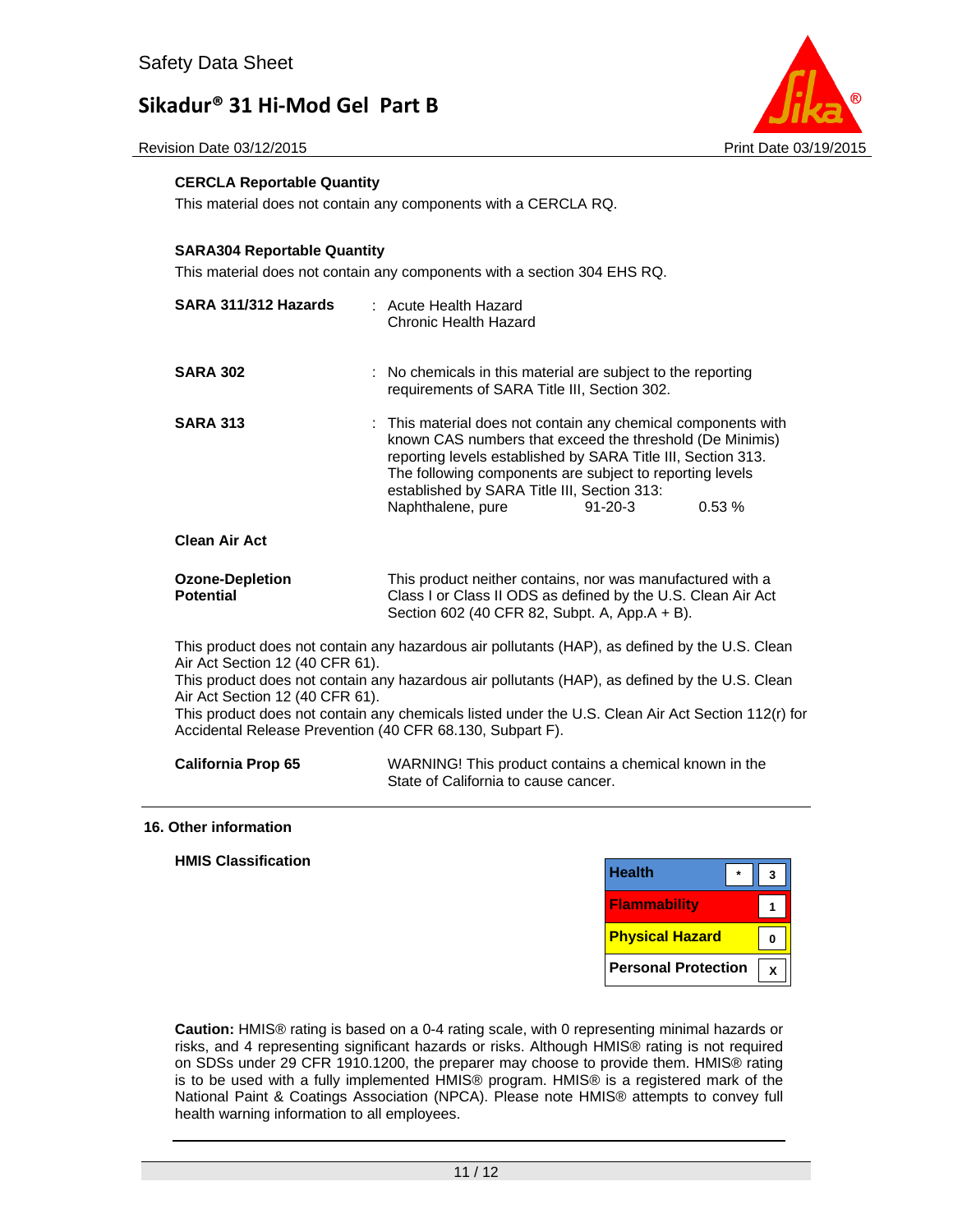Revision Date 03/12/2015 **Print Date 03/12/2015** Print Date 03/19/2015



### **CERCLA Reportable Quantity**

This material does not contain any components with a CERCLA RQ.

#### **SARA304 Reportable Quantity**

This material does not contain any components with a section 304 EHS RQ.

| SARA 311/312 Hazards                                                                                                                                                                                                                                                                                                                                                                                                                      | : Acute Health Hazard<br>Chronic Health Hazard                                                                                                                                                                                                                                                                            |               |       |
|-------------------------------------------------------------------------------------------------------------------------------------------------------------------------------------------------------------------------------------------------------------------------------------------------------------------------------------------------------------------------------------------------------------------------------------------|---------------------------------------------------------------------------------------------------------------------------------------------------------------------------------------------------------------------------------------------------------------------------------------------------------------------------|---------------|-------|
| <b>SARA 302</b>                                                                                                                                                                                                                                                                                                                                                                                                                           | : No chemicals in this material are subject to the reporting<br>requirements of SARA Title III, Section 302.                                                                                                                                                                                                              |               |       |
| <b>SARA 313</b>                                                                                                                                                                                                                                                                                                                                                                                                                           | : This material does not contain any chemical components with<br>known CAS numbers that exceed the threshold (De Minimis)<br>reporting levels established by SARA Title III, Section 313.<br>The following components are subject to reporting levels<br>established by SARA Title III, Section 313:<br>Naphthalene, pure | $91 - 20 - 3$ | 0.53% |
| <b>Clean Air Act</b>                                                                                                                                                                                                                                                                                                                                                                                                                      |                                                                                                                                                                                                                                                                                                                           |               |       |
| <b>Ozone-Depletion</b><br><b>Potential</b>                                                                                                                                                                                                                                                                                                                                                                                                | This product neither contains, nor was manufactured with a<br>Class I or Class II ODS as defined by the U.S. Clean Air Act<br>Section 602 (40 CFR 82, Subpt. A, App.A + B).                                                                                                                                               |               |       |
| This product does not contain any hazardous air pollutants (HAP), as defined by the U.S. Clean<br>Air Act Section 12 (40 CFR 61).<br>This product does not contain any hazardous air pollutants (HAP), as defined by the U.S. Clean<br>Air Act Section 12 (40 CFR 61).<br>This product does not contain any chemicals listed under the U.S. Clean Air Act Section 112(r) for<br>Accidental Release Prevention (40 CFR 68.130, Subpart F). |                                                                                                                                                                                                                                                                                                                           |               |       |

| <b>California Prop 65</b> | WARNING! This product contains a chemical known in the |
|---------------------------|--------------------------------------------------------|
|                           | State of California to cause cancer.                   |

#### **16. Other information**

**HMIS Classification** 

| <b>Health</b>              |  |
|----------------------------|--|
| <b>Flammability</b>        |  |
| <b>Physical Hazard</b>     |  |
| <b>Personal Protection</b> |  |

**Caution:** HMIS® rating is based on a 0-4 rating scale, with 0 representing minimal hazards or risks, and 4 representing significant hazards or risks. Although HMIS® rating is not required on SDSs under 29 CFR 1910.1200, the preparer may choose to provide them. HMIS® rating is to be used with a fully implemented HMIS® program. HMIS® is a registered mark of the National Paint & Coatings Association (NPCA). Please note HMIS® attempts to convey full health warning information to all employees.